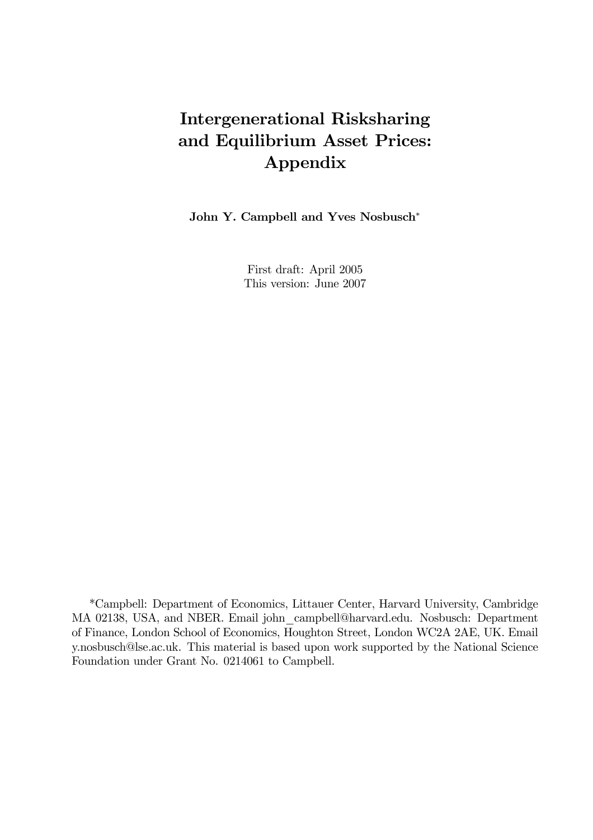# Intergenerational Risksharing and Equilibrium Asset Prices: Appendix

John Y. Campbell and Yves Nosbusch<sup>∗</sup>

First draft: April 2005 This version: June 2007

\*Campbell: Department of Economics, Littauer Center, Harvard University, Cambridge MA 02138, USA, and NBER. Email john\_campbell@harvard.edu. Nosbusch: Department of Finance, London School of Economics, Houghton Street, London WC2A 2AE, UK. Email y.nosbusch@lse.ac.uk. This material is based upon work supported by the National Science Foundation under Grant No. 0214061 to Campbell.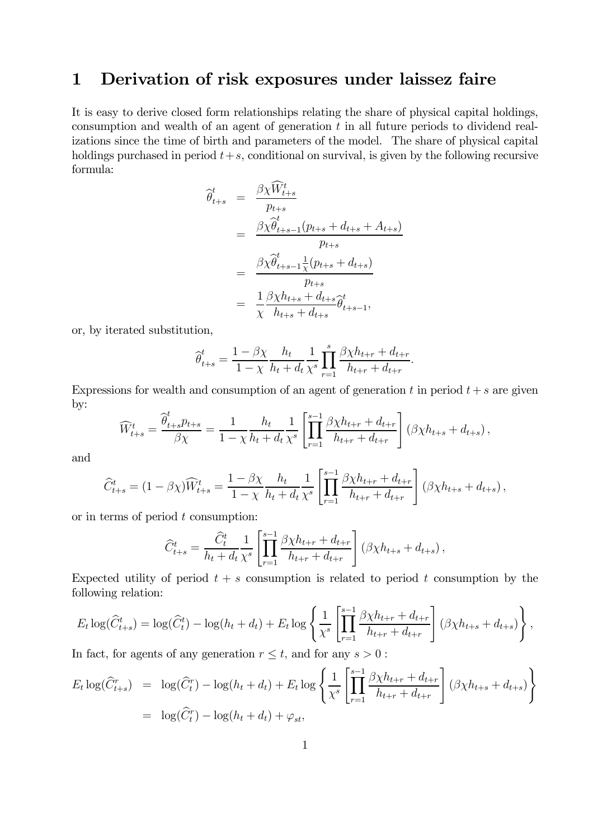## 1 Derivation of risk exposures under laissez faire

It is easy to derive closed form relationships relating the share of physical capital holdings, consumption and wealth of an agent of generation t in all future periods to dividend realizations since the time of birth and parameters of the model. The share of physical capital holdings purchased in period  $t+s$ , conditional on survival, is given by the following recursive formula:

$$
\begin{split}\n\widehat{\theta}_{t+s}^{t} &= \frac{\beta \chi \widehat{W}_{t+s}^{t}}{p_{t+s}} \\
&= \frac{\beta \chi \widehat{\theta}_{t+s-1}^{t}(p_{t+s} + d_{t+s} + A_{t+s})}{p_{t+s}} \\
&= \frac{\beta \chi \widehat{\theta}_{t+s-1}^{t} \widehat{\chi}(p_{t+s} + d_{t+s})}{p_{t+s}} \\
&= \frac{1}{\chi} \frac{\beta \chi h_{t+s} + d_{t+s}}{h_{t+s} + d_{t+s}} \widehat{\theta}_{t+s-1}^{t},\n\end{split}
$$

or, by iterated substitution,

$$
\widehat{\theta}_{t+s}^t = \frac{1 - \beta \chi}{1 - \chi} \frac{h_t}{h_t + d_t} \frac{1}{\chi^s} \prod_{r=1}^s \frac{\beta \chi h_{t+r} + d_{t+r}}{h_{t+r} + d_{t+r}}.
$$

Expressions for wealth and consumption of an agent of generation t in period  $t + s$  are given by:

$$
\widehat{W}_{t+s}^t = \frac{\widehat{\theta}_{t+s}^t p_{t+s}}{\beta \chi} = \frac{1}{1 - \chi} \frac{h_t}{h_t + d_t} \frac{1}{\chi^s} \left[ \prod_{r=1}^{s-1} \frac{\beta \chi h_{t+r} + d_{t+r}}{h_{t+r} + d_{t+r}} \right] (\beta \chi h_{t+s} + d_{t+s}),
$$

and

$$
\widehat{C}_{t+s}^{t} = (1 - \beta \chi) \widehat{W}_{t+s}^{t} = \frac{1 - \beta \chi}{1 - \chi} \frac{h_t}{h_t + d_t} \frac{1}{\chi^s} \left[ \prod_{r=1}^{s-1} \frac{\beta \chi h_{t+r} + d_{t+r}}{h_{t+r} + d_{t+r}} \right] (\beta \chi h_{t+s} + d_{t+s}),
$$

or in terms of period  $t$  consumption:

$$
\widehat{C}_{t+s}^t = \frac{\widehat{C}_{t}^t}{h_t + d_t} \frac{1}{\chi^s} \left[ \prod_{r=1}^{s-1} \frac{\beta \chi h_{t+r} + d_{t+r}}{h_{t+r} + d_{t+r}} \right] (\beta \chi h_{t+s} + d_{t+s}),
$$

Expected utility of period  $t + s$  consumption is related to period t consumption by the following relation:

$$
E_t \log(\widehat{C}_{t+s}^t) = \log(\widehat{C}_t^t) - \log(h_t + d_t) + E_t \log \left\{ \frac{1}{\chi^s} \left[ \prod_{r=1}^{s-1} \frac{\beta \chi h_{t+r} + d_{t+r}}{h_{t+r} + d_{t+r}} \right] (\beta \chi h_{t+s} + d_{t+s}) \right\},\,
$$

In fact, for agents of any generation  $r \leq t$ , and for any  $s > 0$ :

$$
E_t \log(\widehat{C}_{t+s}^r) = \log(\widehat{C}_t^r) - \log(h_t + d_t) + E_t \log \left\{ \frac{1}{\chi^s} \left[ \prod_{r=1}^{s-1} \frac{\beta \chi h_{t+r} + d_{t+r}}{h_{t+r} + d_{t+r}} \right] (\beta \chi h_{t+s} + d_{t+s}) \right\}
$$
  
=  $\log(\widehat{C}_t^r) - \log(h_t + d_t) + \varphi_{st},$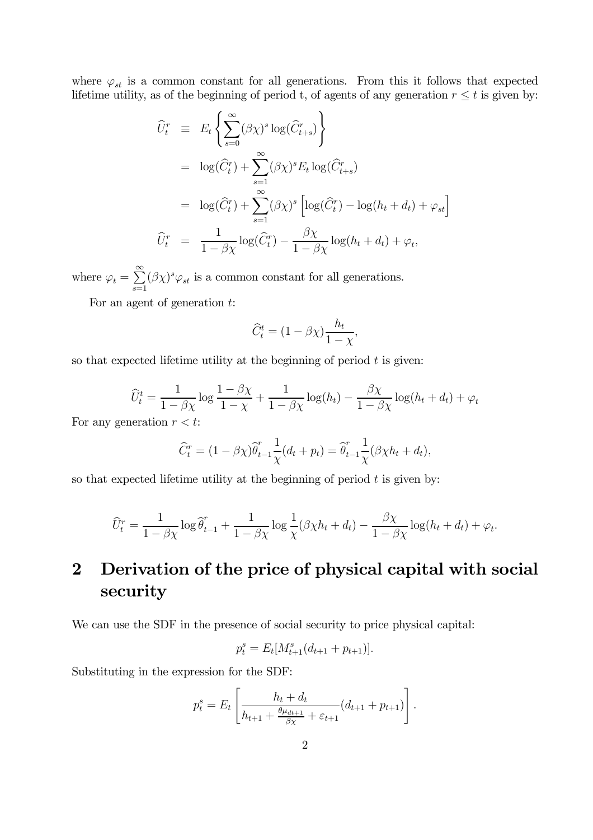where  $\varphi_{st}$  is a common constant for all generations. From this it follows that expected lifetime utility, as of the beginning of period t, of agents of any generation  $r \leq t$  is given by:

$$
\widehat{U}_{t}^{r} \equiv E_{t} \left\{ \sum_{s=0}^{\infty} (\beta \chi)^{s} \log(\widehat{C}_{t+s}^{r}) \right\}
$$
\n
$$
= \log(\widehat{C}_{t}^{r}) + \sum_{s=1}^{\infty} (\beta \chi)^{s} E_{t} \log(\widehat{C}_{t+s}^{r})
$$
\n
$$
= \log(\widehat{C}_{t}^{r}) + \sum_{s=1}^{\infty} (\beta \chi)^{s} \left[ \log(\widehat{C}_{t}^{r}) - \log(h_{t} + d_{t}) + \varphi_{st} \right]
$$
\n
$$
\widehat{U}_{t}^{r} = \frac{1}{1 - \beta \chi} \log(\widehat{C}_{t}^{r}) - \frac{\beta \chi}{1 - \beta \chi} \log(h_{t} + d_{t}) + \varphi_{t},
$$

where  $\varphi_t = \sum^{\infty}$  $\sum_{s=1} (\beta \chi)^s \varphi_{st}$  is a common constant for all generations.

For an agent of generation  $t$ :

$$
\widehat{C}_t^t = (1 - \beta \chi) \frac{h_t}{1 - \chi},
$$

so that expected lifetime utility at the beginning of period  $t$  is given:

$$
\widehat{U}_t^t = \frac{1}{1 - \beta \chi} \log \frac{1 - \beta \chi}{1 - \chi} + \frac{1}{1 - \beta \chi} \log(h_t) - \frac{\beta \chi}{1 - \beta \chi} \log(h_t + d_t) + \varphi_t
$$

For any generation  $r < t$ :

$$
\widehat{C}_t^r = (1 - \beta \chi) \widehat{\theta}_{t-1}^r \frac{1}{\chi} (d_t + p_t) = \widehat{\theta}_{t-1}^r \frac{1}{\chi} (\beta \chi h_t + d_t),
$$

so that expected lifetime utility at the beginning of period  $t$  is given by:

$$
\widehat{U}_t^r = \frac{1}{1 - \beta \chi} \log \widehat{\theta}_{t-1}^r + \frac{1}{1 - \beta \chi} \log \frac{1}{\chi} (\beta \chi h_t + d_t) - \frac{\beta \chi}{1 - \beta \chi} \log(h_t + d_t) + \varphi_t.
$$

## 2 Derivation of the price of physical capital with social security

We can use the SDF in the presence of social security to price physical capital:

$$
p_t^s = E_t[M_{t+1}^s(d_{t+1} + p_{t+1})].
$$

Substituting in the expression for the SDF:

$$
p_t^s = E_t \left[ \frac{h_t + d_t}{h_{t+1} + \frac{\theta \mu_{dt+1}}{\beta \chi} + \varepsilon_{t+1}} (d_{t+1} + p_{t+1}) \right].
$$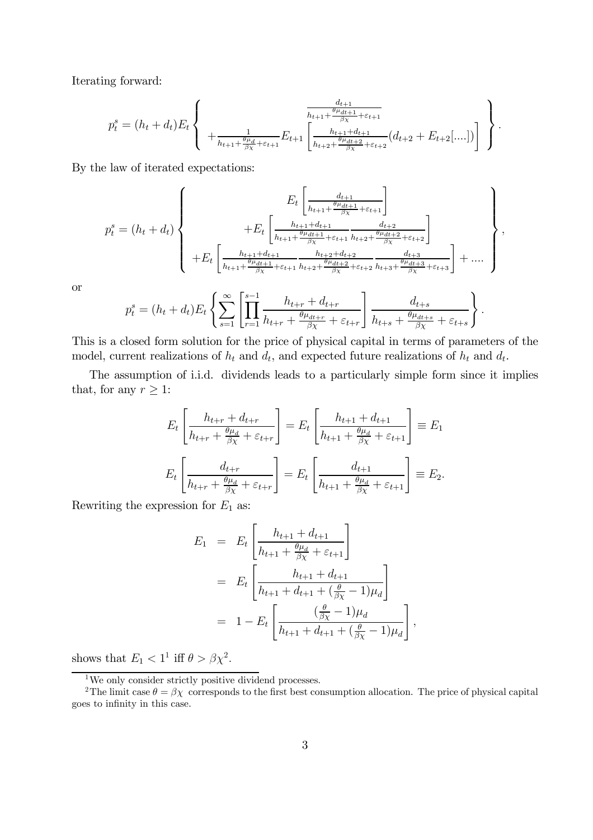Iterating forward:

$$
p_t^s = (h_t + d_t)E_t \left\{ \begin{array}{c} \frac{d_{t+1}}{h_{t+1} + \frac{\theta_{\mu_{dt+1}}}{\beta_{\chi}} + \varepsilon_{t+1}} \\ + \frac{1}{h_{t+1} + \frac{\theta_{\mu_{d}}}{\beta_{\chi}} + \varepsilon_{t+1}} E_{t+1} \left[ \frac{h_{t+1} + d_{t+1}}{h_{t+2} + \frac{\theta_{\mu_{dt+2}}}{\beta_{\chi}} + \varepsilon_{t+2}} (d_{t+2} + E_{t+2}[\ldots]) \right] \end{array} \right\}.
$$

By the law of iterated expectations:

$$
p_{t}^{s} = (h_{t} + d_{t}) \left\{\n\begin{array}{c}\nE_{t} \left[ \frac{d_{t+1}}{h_{t+1} + \frac{\theta \mu_{dt+1}}{\beta \chi} + \varepsilon_{t+1}} \right] \\
+ E_{t} \left[ \frac{h_{t+1} + d_{t+1}}{h_{t+1} + \frac{\theta \mu_{dt+1}}{\beta \chi} + \varepsilon_{t+1}} \frac{d_{t+2}}{h_{t+2} + \frac{\theta \mu_{dt+2}}{\beta \chi} + \varepsilon_{t+2}} \right] \\
+ E_{t} \left[ \frac{h_{t+1} + d_{t+1}}{h_{t+1} + \frac{\theta \mu_{dt+1}}{\beta \chi} + \varepsilon_{t+1}} \frac{h_{t+2} + d_{t+2}}{h_{t+2} + \frac{\theta \mu_{dt+2}}{\beta \chi} + \varepsilon_{t+2}} \frac{d_{t+3}}{h_{t+3} + \frac{\theta \mu_{dt+3}}{\beta \chi} + \varepsilon_{t+3}} \right] + \dots\n\end{array}\n\right\},
$$

or

$$
p_t^s = (h_t + d_t) E_t \left\{ \sum_{s=1}^{\infty} \left[ \prod_{r=1}^{s-1} \frac{h_{t+r} + d_{t+r}}{h_{t+r} + \frac{\theta \mu_{dt+r}}{\beta \chi} + \varepsilon_{t+r}} \right] \frac{d_{t+s}}{h_{t+s} + \frac{\theta \mu_{dt+s}}{\beta \chi} + \varepsilon_{t+s}} \right\}
$$

.

This is a closed form solution for the price of physical capital in terms of parameters of the model, current realizations of  $h_t$  and  $d_t$ , and expected future realizations of  $h_t$  and  $d_t$ .

The assumption of i.i.d. dividends leads to a particularly simple form since it implies that, for any  $r \geq 1$ :

$$
E_t \left[ \frac{h_{t+r} + d_{t+r}}{h_{t+r} + \frac{\theta \mu_d}{\beta \chi} + \varepsilon_{t+r}} \right] = E_t \left[ \frac{h_{t+1} + d_{t+1}}{h_{t+1} + \frac{\theta \mu_d}{\beta \chi} + \varepsilon_{t+1}} \right] \equiv E_1
$$
  

$$
E_t \left[ \frac{d_{t+r}}{h_{t+r} + \frac{\theta \mu_d}{\beta \chi} + \varepsilon_{t+r}} \right] = E_t \left[ \frac{d_{t+1}}{h_{t+1} + \frac{\theta \mu_d}{\beta \chi} + \varepsilon_{t+1}} \right] \equiv E_2.
$$

Rewriting the expression for  $E_1$  as:

$$
E_1 = E_t \left[ \frac{h_{t+1} + d_{t+1}}{h_{t+1} + \frac{\theta \mu_d}{\beta \chi} + \varepsilon_{t+1}} \right]
$$
  
= 
$$
E_t \left[ \frac{h_{t+1} + d_{t+1}}{h_{t+1} + d_{t+1} + (\frac{\theta}{\beta \chi} - 1)\mu_d} \right]
$$
  
= 
$$
1 - E_t \left[ \frac{(\frac{\theta}{\beta \chi} - 1)\mu_d}{h_{t+1} + d_{t+1} + (\frac{\theta}{\beta \chi} - 1)\mu_d} \right],
$$

shows that  $E_1 < 1^1$  iff  $\theta > \beta \chi^2$ .

 ${}^{1}\mathrm{We}$  only consider strictly positive dividend processes.

<sup>&</sup>lt;sup>2</sup>The limit case  $\theta = \beta \chi$  corresponds to the first best consumption allocation. The price of physical capital goes to infinity in this case.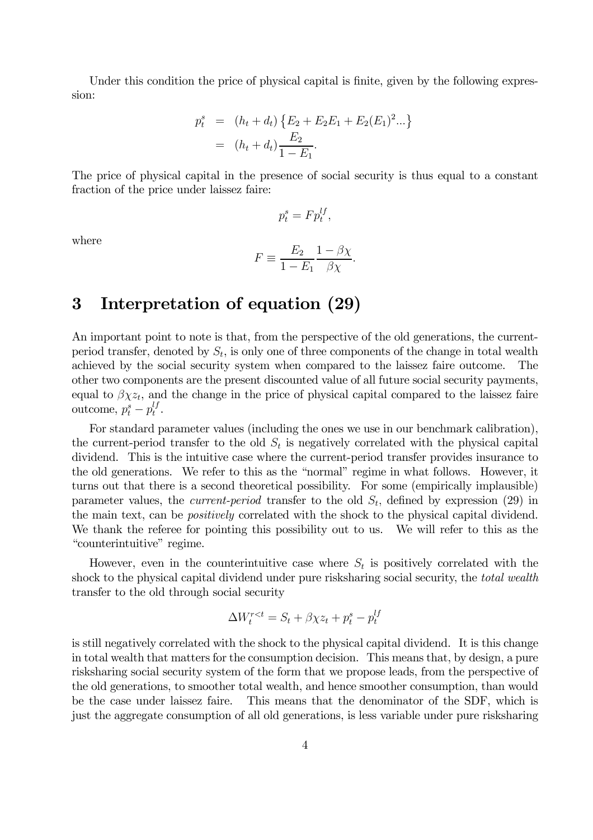Under this condition the price of physical capital is finite, given by the following expression:

$$
p_t^s = (h_t + d_t) \{ E_2 + E_2 E_1 + E_2 (E_1)^2 ... \}
$$
  
=  $(h_t + d_t) \frac{E_2}{1 - E_1}.$ 

The price of physical capital in the presence of social security is thus equal to a constant fraction of the price under laissez faire:

$$
p_t^s = F p_t^{lf},
$$

where

$$
F \equiv \frac{E_2}{1 - E_1} \frac{1 - \beta \chi}{\beta \chi}.
$$

### 3 Interpretation of equation (29)

An important point to note is that, from the perspective of the old generations, the currentperiod transfer, denoted by  $S_t$ , is only one of three components of the change in total wealth achieved by the social security system when compared to the laissez faire outcome. The other two components are the present discounted value of all future social security payments, equal to  $\beta \chi z_t$ , and the change in the price of physical capital compared to the laissez faire outcome,  $p_t^s - p_t^{lf}$ .

For standard parameter values (including the ones we use in our benchmark calibration), the current-period transfer to the old  $S_t$  is negatively correlated with the physical capital dividend. This is the intuitive case where the current-period transfer provides insurance to the old generations. We refer to this as the "normal" regime in what follows. However, it turns out that there is a second theoretical possibility. For some (empirically implausible) parameter values, the *current-period* transfer to the old  $S_t$ , defined by expression (29) in the main text, can be positively correlated with the shock to the physical capital dividend. We thank the referee for pointing this possibility out to us. We will refer to this as the "counterintuitive" regime.

However, even in the counterintuitive case where  $S_t$  is positively correlated with the shock to the physical capital dividend under pure risksharing social security, the total wealth transfer to the old through social security

$$
\Delta W_t^{r < t} = S_t + \beta \chi z_t + p_t^s - p_t^{lf}
$$

is still negatively correlated with the shock to the physical capital dividend. It is this change in total wealth that matters for the consumption decision. This means that, by design, a pure risksharing social security system of the form that we propose leads, from the perspective of the old generations, to smoother total wealth, and hence smoother consumption, than would be the case under laissez faire. This means that the denominator of the SDF, which is just the aggregate consumption of all old generations, is less variable under pure risksharing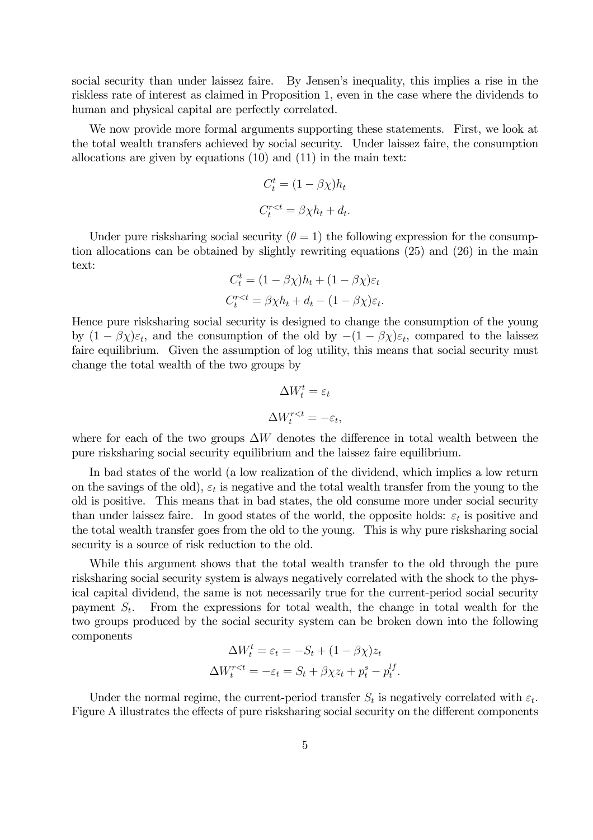social security than under laissez faire. By Jensen's inequality, this implies a rise in the riskless rate of interest as claimed in Proposition 1, even in the case where the dividends to human and physical capital are perfectly correlated.

We now provide more formal arguments supporting these statements. First, we look at the total wealth transfers achieved by social security. Under laissez faire, the consumption allocations are given by equations (10) and (11) in the main text:

$$
C_t^t = (1 - \beta \chi) h_t
$$
  

$$
C_t^{r < t} = \beta \chi h_t + d_t.
$$

Under pure risksharing social security  $(\theta = 1)$  the following expression for the consumption allocations can be obtained by slightly rewriting equations (25) and (26) in the main text:

$$
C_t^t = (1 - \beta \chi)h_t + (1 - \beta \chi)\varepsilon_t
$$
  

$$
C_t^{r < t} = \beta \chi h_t + d_t - (1 - \beta \chi)\varepsilon_t.
$$

Hence pure risksharing social security is designed to change the consumption of the young by  $(1 - \beta \chi) \varepsilon_t$ , and the consumption of the old by  $-(1 - \beta \chi) \varepsilon_t$ , compared to the laissez faire equilibrium. Given the assumption of log utility, this means that social security must change the total wealth of the two groups by

$$
\Delta W_t^t = \varepsilon_t
$$

$$
\Delta W_t^{r < t} = -\varepsilon_t
$$

where for each of the two groups  $\Delta W$  denotes the difference in total wealth between the pure risksharing social security equilibrium and the laissez faire equilibrium.

In bad states of the world (a low realization of the dividend, which implies a low return on the savings of the old),  $\varepsilon_t$  is negative and the total wealth transfer from the young to the old is positive. This means that in bad states, the old consume more under social security than under laissez faire. In good states of the world, the opposite holds:  $\varepsilon_t$  is positive and the total wealth transfer goes from the old to the young. This is why pure risksharing social security is a source of risk reduction to the old.

While this argument shows that the total wealth transfer to the old through the pure risksharing social security system is always negatively correlated with the shock to the physical capital dividend, the same is not necessarily true for the current-period social security payment  $S_t$ . From the expressions for total wealth, the change in total wealth for the two groups produced by the social security system can be broken down into the following components

$$
\Delta W_t^t = \varepsilon_t = -S_t + (1 - \beta \chi) z_t
$$
  

$$
\Delta W_t^{r < t} = -\varepsilon_t = S_t + \beta \chi z_t + p_t^s - p_t^{lf}.
$$

Under the normal regime, the current-period transfer  $S_t$  is negatively correlated with  $\varepsilon_t$ . Figure A illustrates the effects of pure risksharing social security on the different components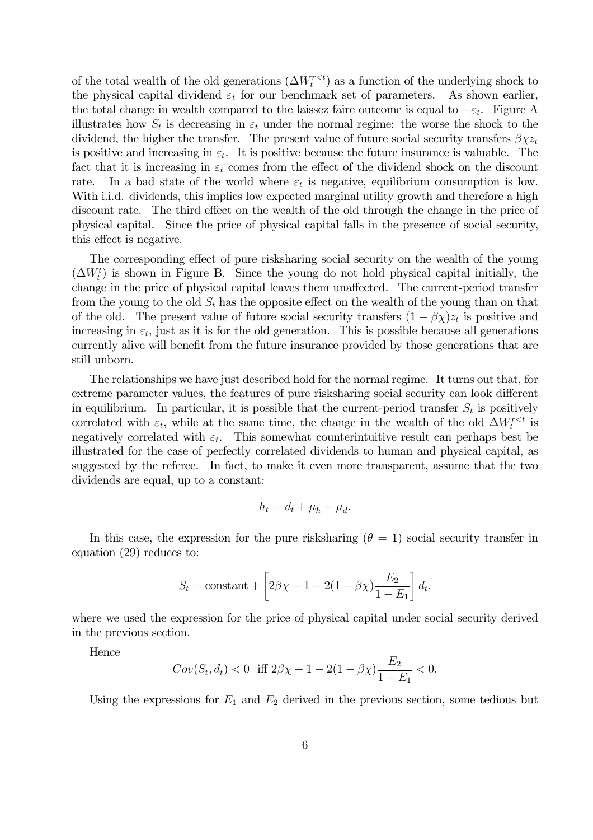of the total wealth of the old generations  $(\Delta W_t^{r \lt t})$  as a function of the underlying shock to the physical capital dividend  $\varepsilon_t$  for our benchmark set of parameters. As shown earlier, the total change in wealth compared to the laissez faire outcome is equal to  $-\varepsilon_t$ . Figure A illustrates how  $S_t$  is decreasing in  $\varepsilon_t$  under the normal regime: the worse the shock to the dividend, the higher the transfer. The present value of future social security transfers  $\beta_{XZ_t}$ is positive and increasing in  $\varepsilon_t$ . It is positive because the future insurance is valuable. The fact that it is increasing in  $\varepsilon_t$  comes from the effect of the dividend shock on the discount rate. In a bad state of the world where  $\varepsilon_t$  is negative, equilibrium consumption is low. With i.i.d. dividends, this implies low expected marginal utility growth and therefore a high discount rate. The third effect on the wealth of the old through the change in the price of physical capital. Since the price of physical capital falls in the presence of social security, this effect is negative.

The corresponding effect of pure risksharing social security on the wealth of the young  $(\Delta W_t^t)$  is shown in Figure B. Since the young do not hold physical capital initially, the change in the price of physical capital leaves them unaffected. The current-period transfer from the young to the old  $S_t$  has the opposite effect on the wealth of the young than on that of the old. The present value of future social security transfers  $(1 - \beta \chi)z_t$  is positive and increasing in  $\varepsilon_t$ , just as it is for the old generation. This is possible because all generations currently alive will benefit from the future insurance provided by those generations that are still unborn.

The relationships we have just described hold for the normal regime. It turns out that, for extreme parameter values, the features of pure risksharing social security can look different in equilibrium. In particular, it is possible that the current-period transfer  $S_t$  is positively correlated with  $\varepsilon_t$ , while at the same time, the change in the wealth of the old  $\Delta W_t^{rlt}$  is negatively correlated with  $\varepsilon_t$ . This somewhat counterintuitive result can perhaps best be illustrated for the case of perfectly correlated dividends to human and physical capital, as suggested by the referee. In fact, to make it even more transparent, assume that the two dividends are equal, up to a constant:

$$
h_t = d_t + \mu_h - \mu_d.
$$

In this case, the expression for the pure risksharing  $(\theta = 1)$  social security transfer in equation (29) reduces to:

$$
S_t = \text{constant} + \left[2\beta\chi - 1 - 2(1 - \beta\chi)\frac{E_2}{1 - E_1}\right]d_t,
$$

where we used the expression for the price of physical capital under social security derived in the previous section.

Hence

$$
Cov(S_t, d_t) < 0 \quad \text{iff } 2\beta\chi - 1 - 2(1 - \beta\chi)\frac{E_2}{1 - E_1} < 0.
$$

Using the expressions for  $E_1$  and  $E_2$  derived in the previous section, some tedious but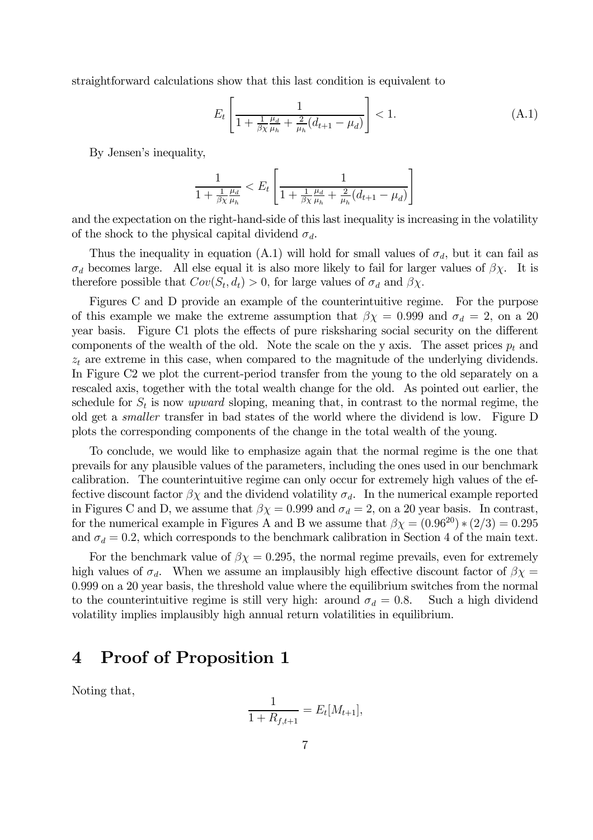straightforward calculations show that this last condition is equivalent to

$$
E_t \left[ \frac{1}{1 + \frac{1}{\beta \chi} \frac{\mu_d}{\mu_h} + \frac{2}{\mu_h} (d_{t+1} - \mu_d)} \right] < 1. \tag{A.1}
$$

By Jensen's inequality,

$$
\frac{1}{1 + \frac{1}{\beta \chi} \frac{\mu_d}{\mu_h}} < E_t \left[ \frac{1}{1 + \frac{1}{\beta \chi} \frac{\mu_d}{\mu_h} + \frac{2}{\mu_h} (d_{t+1} - \mu_d)} \right]
$$

and the expectation on the right-hand-side of this last inequality is increasing in the volatility of the shock to the physical capital dividend  $\sigma_d$ .

Thus the inequality in equation (A.1) will hold for small values of  $\sigma_d$ , but it can fail as  $\sigma_d$  becomes large. All else equal it is also more likely to fail for larger values of  $\beta \chi$ . It is therefore possible that  $Cov(S_t, d_t) > 0$ , for large values of  $\sigma_d$  and  $\beta \chi$ .

Figures C and D provide an example of the counterintuitive regime. For the purpose of this example we make the extreme assumption that  $\beta \chi = 0.999$  and  $\sigma_d = 2$ , on a 20 year basis. Figure C1 plots the effects of pure risksharing social security on the different components of the wealth of the old. Note the scale on the y axis. The asset prices  $p_t$  and  $z_t$  are extreme in this case, when compared to the magnitude of the underlying dividends. In Figure C2 we plot the current-period transfer from the young to the old separately on a rescaled axis, together with the total wealth change for the old. As pointed out earlier, the schedule for  $S_t$  is now upward sloping, meaning that, in contrast to the normal regime, the old get a smaller transfer in bad states of the world where the dividend is low. Figure D plots the corresponding components of the change in the total wealth of the young.

To conclude, we would like to emphasize again that the normal regime is the one that prevails for any plausible values of the parameters, including the ones used in our benchmark calibration. The counterintuitive regime can only occur for extremely high values of the effective discount factor  $\beta \chi$  and the dividend volatility  $\sigma_d$ . In the numerical example reported in Figures C and D, we assume that  $\beta \chi = 0.999$  and  $\sigma_d = 2$ , on a 20 year basis. In contrast, for the numerical example in Figures A and B we assume that  $\beta \chi = (0.96^{20}) * (2/3) = 0.295$ and  $\sigma_d = 0.2$ , which corresponds to the benchmark calibration in Section 4 of the main text.

For the benchmark value of  $\beta \chi = 0.295$ , the normal regime prevails, even for extremely high values of  $\sigma_d$ . When we assume an implausibly high effective discount factor of  $\beta \chi =$ 0.999 on a 20 year basis, the threshold value where the equilibrium switches from the normal to the counterintuitive regime is still very high: around  $\sigma_d = 0.8$ . Such a high dividend volatility implies implausibly high annual return volatilities in equilibrium.

#### 4 Proof of Proposition 1

Noting that,

$$
\frac{1}{1 + R_{f,t+1}} = E_t[M_{t+1}],
$$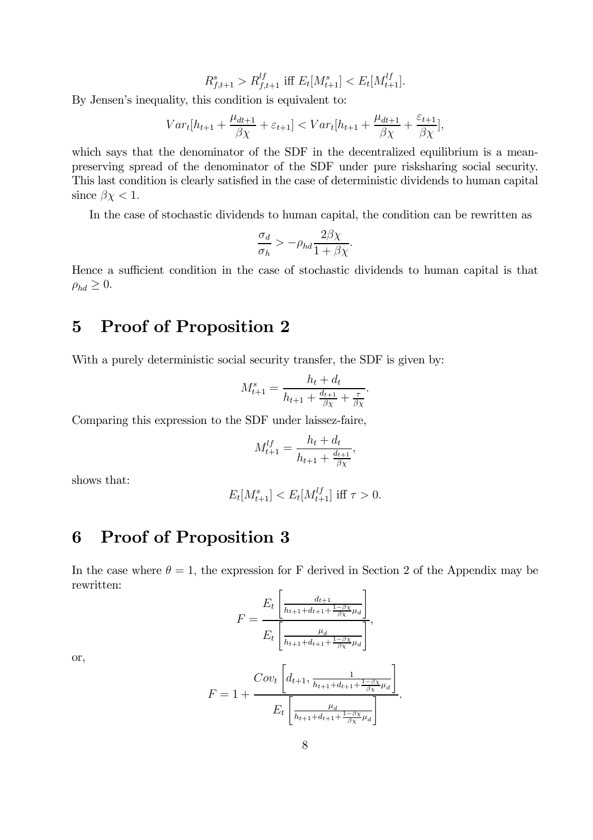$$
R_{f,t+1}^s > R_{f,t+1}^{lf} \text{ iff } E_t[M_{t+1}^s] < E_t[M_{t+1}^{lf}].
$$

By Jensen's inequality, this condition is equivalent to:

$$
Var_{t}[h_{t+1} + \frac{\mu_{dt+1}}{\beta\chi} + \varepsilon_{t+1}] < Var_{t}[h_{t+1} + \frac{\mu_{dt+1}}{\beta\chi} + \frac{\varepsilon_{t+1}}{\beta\chi}],
$$

which says that the denominator of the SDF in the decentralized equilibrium is a meanpreserving spread of the denominator of the SDF under pure risksharing social security. This last condition is clearly satisfied in the case of deterministic dividends to human capital since  $\beta \chi < 1$ .

In the case of stochastic dividends to human capital, the condition can be rewritten as

$$
\frac{\sigma_d}{\sigma_h} > -\rho_{hd} \frac{2\beta \chi}{1 + \beta \chi}.
$$

Hence a sufficient condition in the case of stochastic dividends to human capital is that  $\rho_{hd} \geq 0$ .

### 5 Proof of Proposition 2

With a purely deterministic social security transfer, the SDF is given by:

$$
M_{t+1}^{s} = \frac{h_{t} + d_{t}}{h_{t+1} + \frac{d_{t+1}}{\beta \chi} + \frac{\tau}{\beta \chi}}.
$$

Comparing this expression to the SDF under laissez-faire,

$$
M_{t+1}^{lf} = \frac{h_t + d_t}{h_{t+1} + \frac{d_{t+1}}{\beta \chi}}
$$

,

shows that:

$$
E_t[M_{t+1}^s] < E_t[M_{t+1}^{lf}] \text{ iff } \tau > 0.
$$

### 6 Proof of Proposition 3

In the case where  $\theta = 1$ , the expression for F derived in Section 2 of the Appendix may be rewritten:

$$
F = \frac{E_t \left[ \frac{d_{t+1}}{h_{t+1} + d_{t+1} + \frac{1-\beta_X}{\beta_X} \mu_d} \right]}{E_t \left[ \frac{\mu_d}{h_{t+1} + d_{t+1} + \frac{1-\beta_X}{\beta_X} \mu_d} \right]},
$$

or,

$$
F = 1 + \frac{Cov_t \left[d_{t+1}, \frac{1}{h_{t+1} + d_{t+1} + \frac{1-\beta_X}{\beta_X} \mu_d}\right]}{E_t \left[\frac{\mu_d}{h_{t+1} + d_{t+1} + \frac{1-\beta_X}{\beta_X} \mu_d}\right]}.
$$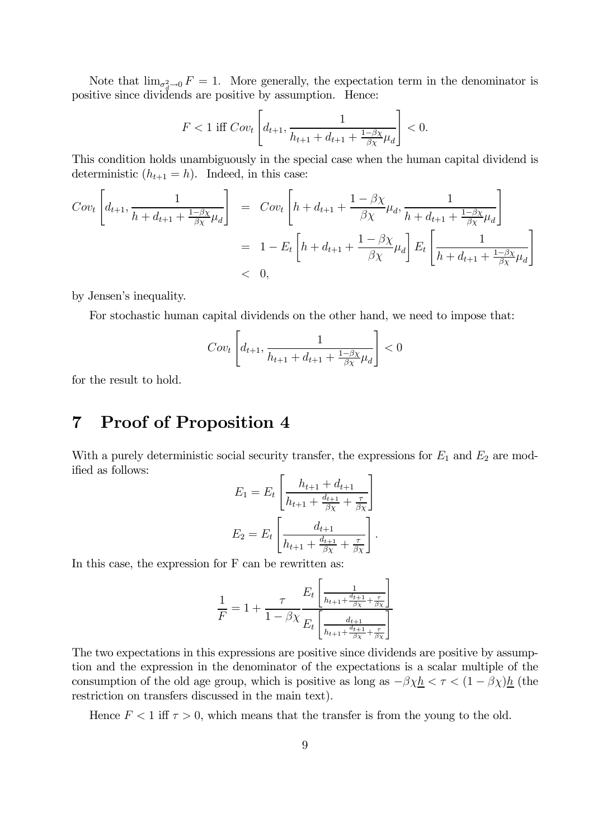Note that  $\lim_{\sigma_d^2 \to 0} F = 1$ . More generally, the expectation term in the denominator is positive since dividends are positive by assumption. Hence:

$$
F<1 \text{ iff } Cov_t \left[d_{t+1}, \frac{1}{h_{t+1}+d_{t+1}+\frac{1-\beta \chi}{\beta \chi} \mu_d} \right] <0.
$$

This condition holds unambiguously in the special case when the human capital dividend is deterministic  $(h_{t+1} = h)$ . Indeed, in this case:

$$
Cov_t \left[ d_{t+1}, \frac{1}{h + d_{t+1} + \frac{1 - \beta \chi}{\beta \chi} \mu_d} \right] = Cov_t \left[ h + d_{t+1} + \frac{1 - \beta \chi}{\beta \chi} \mu_d, \frac{1}{h + d_{t+1} + \frac{1 - \beta \chi}{\beta \chi} \mu_d} \right]
$$
  
=  $1 - E_t \left[ h + d_{t+1} + \frac{1 - \beta \chi}{\beta \chi} \mu_d \right] E_t \left[ \frac{1}{h + d_{t+1} + \frac{1 - \beta \chi}{\beta \chi} \mu_d} \right]$   
< 0,

by Jensen's inequality.

For stochastic human capital dividends on the other hand, we need to impose that:

$$
Cov_t\left[d_{t+1}, \frac{1}{h_{t+1}+d_{t+1}+\frac{1-\beta\chi}{\beta\chi}\mu_d}\right]<0
$$

for the result to hold.

## 7 Proof of Proposition 4

With a purely deterministic social security transfer, the expressions for  $E_1$  and  $E_2$  are modified as follows:

$$
E_1 = E_t \left[ \frac{h_{t+1} + d_{t+1}}{h_{t+1} + \frac{d_{t+1}}{\beta \chi} + \frac{\tau}{\beta \chi}} \right]
$$

$$
E_2 = E_t \left[ \frac{d_{t+1}}{h_{t+1} + \frac{d_{t+1}}{\beta \chi} + \frac{\tau}{\beta \chi}} \right].
$$

In this case, the expression for F can be rewritten as:

$$
\frac{1}{F} = 1 + \frac{\tau}{1 - \beta \chi} \frac{E_t \left[ \frac{1}{h_{t+1} + \frac{d_{t+1}}{\beta \chi} + \frac{\tau}{\beta \chi}} \right]}{E_t \left[ \frac{d_{t+1}}{h_{t+1} + \frac{d_{t+1}}{\beta \chi} + \frac{\tau}{\beta \chi}} \right]}
$$

The two expectations in this expressions are positive since dividends are positive by assumption and the expression in the denominator of the expectations is a scalar multiple of the consumption of the old age group, which is positive as long as  $-\beta \chi h < \tau < (1 - \beta \chi)h$  (the restriction on transfers discussed in the main text).

Hence  $F < 1$  iff  $\tau > 0$ , which means that the transfer is from the young to the old.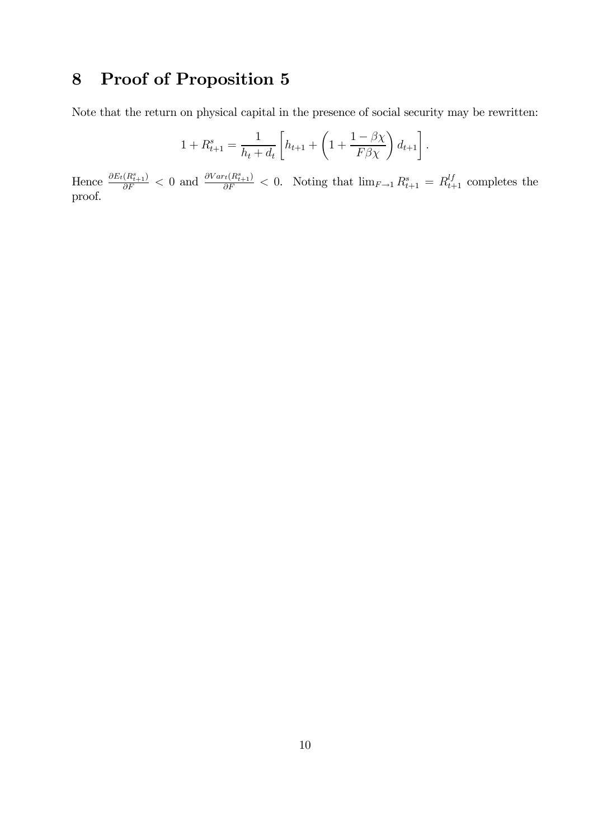# 8 Proof of Proposition 5

Note that the return on physical capital in the presence of social security may be rewritten:

$$
1 + R_{t+1}^{s} = \frac{1}{h_t + d_t} \left[ h_{t+1} + \left( 1 + \frac{1 - \beta \chi}{F \beta \chi} \right) d_{t+1} \right].
$$

Hence  $\frac{\partial E_t(R_{t+1}^s)}{\partial F} < 0$  and  $\frac{\partial Var_t(R_{t+1}^s)}{\partial F} < 0$ . Noting that  $\lim_{F\to 1} R_{t+1}^s = R_{t+1}^{\downarrow f}$  completes the proof.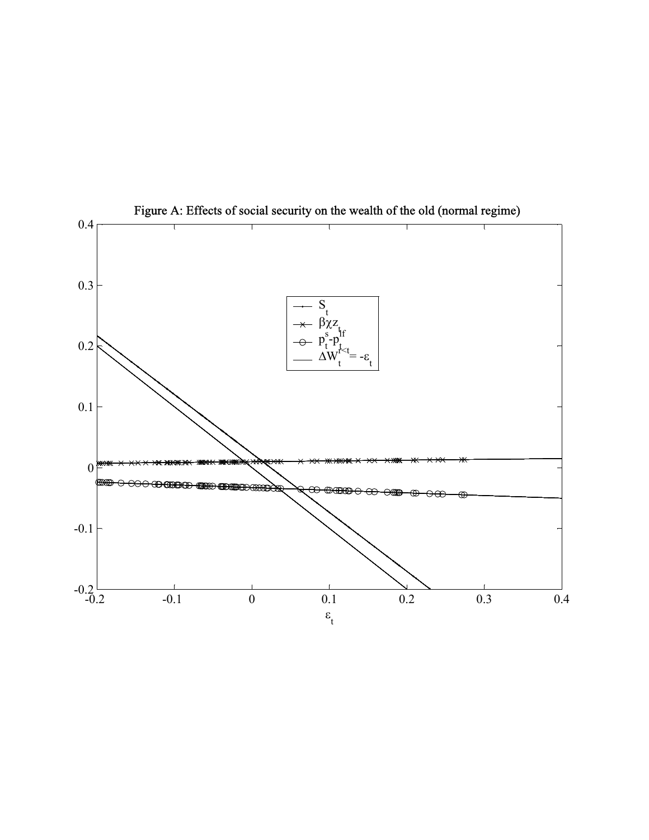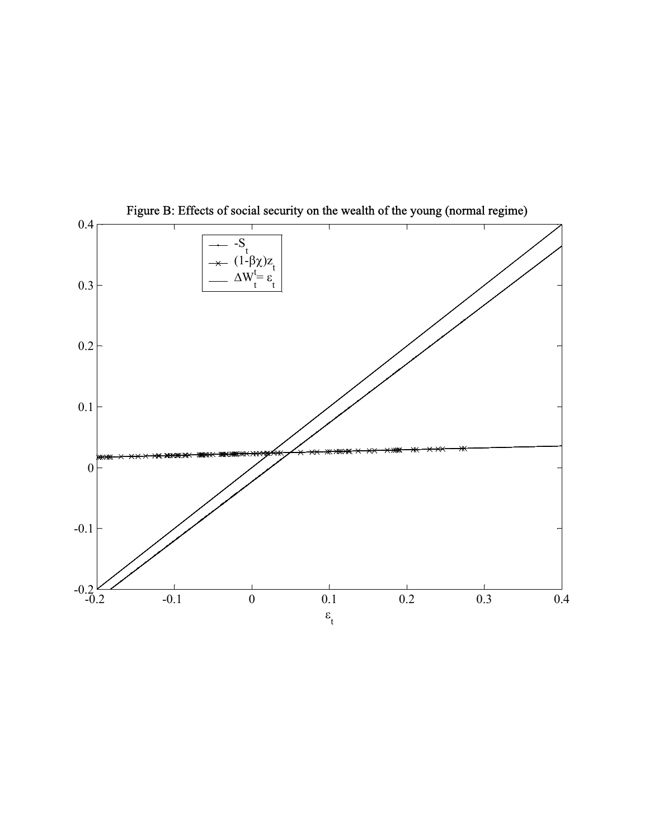

Figure B: Effects of social security on the wealth of the young (normal regime)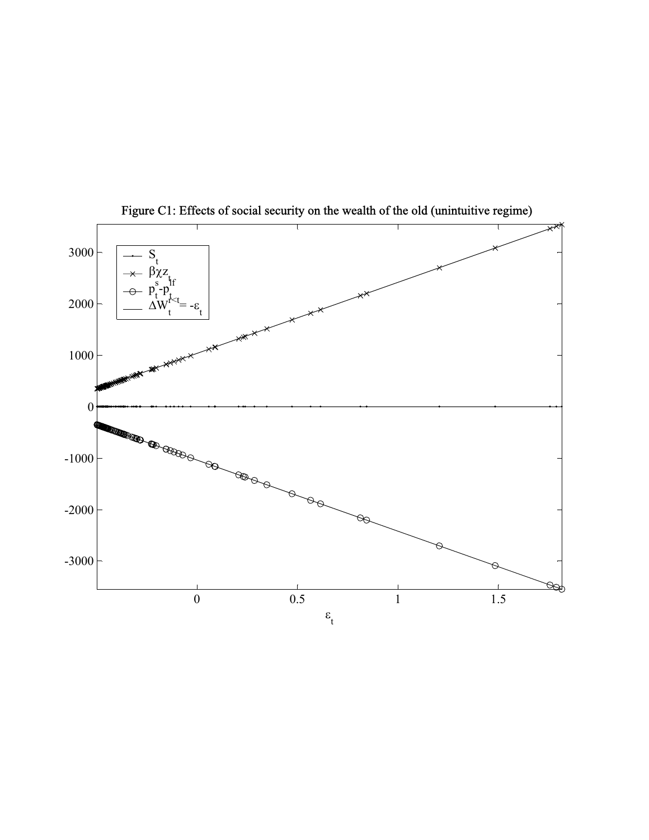

Figure C1: Effects of social security on the wealth of the old (unintuitive regime)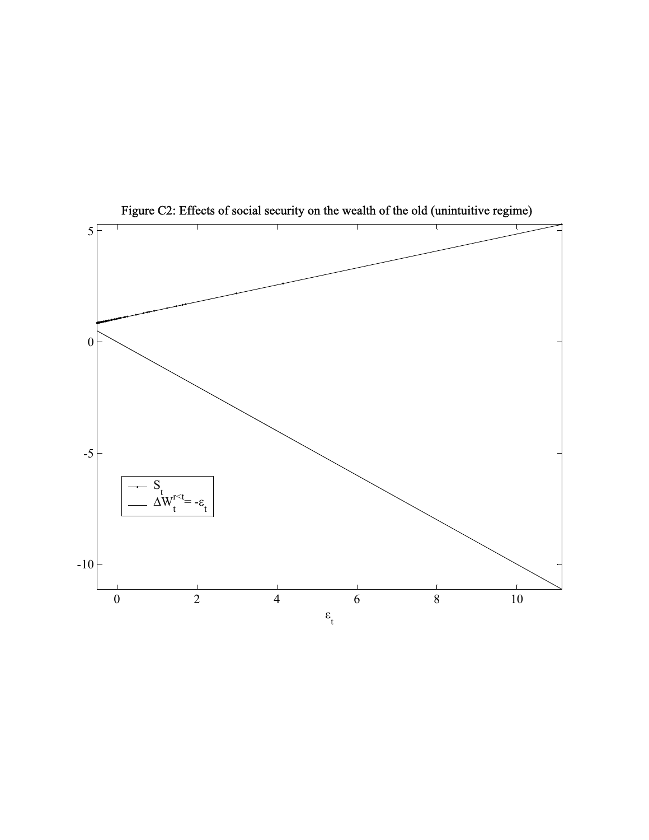

Figure C2: Effects of social security on the wealth of the old (unintuitive regime)